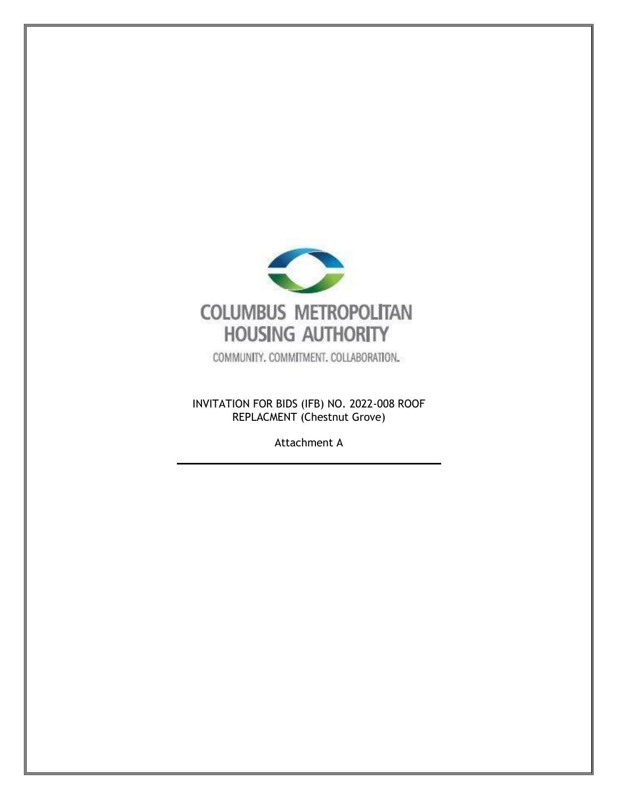

COMMUNITY. COMMITMENT. COLLABORATION.

INVITATION FOR BIDS (IFB) NO. 2022-008 ROOF REPLACMENT (Chestnut Grove)

Attachment A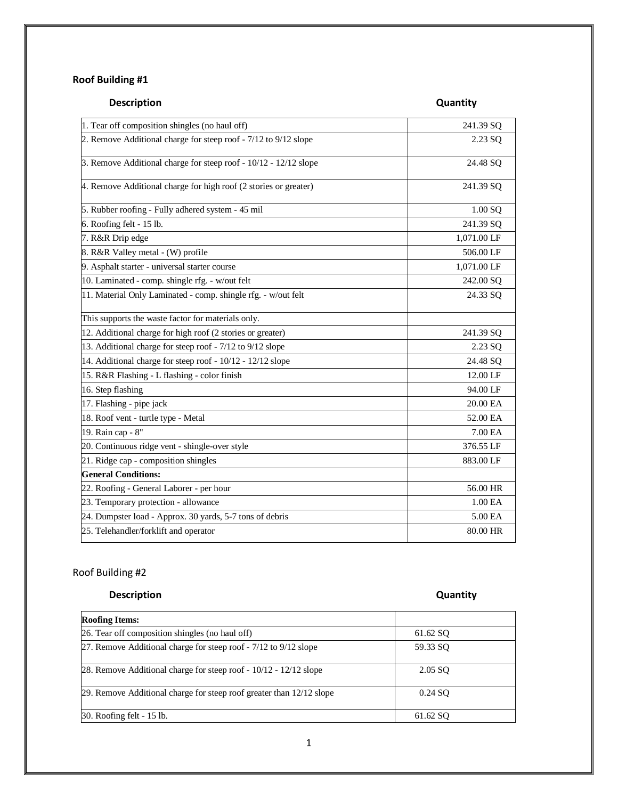### **Roof Building #1**

# **Description Description**

| 1. Tear off composition shingles (no haul off)                   | 241.39 SQ   |
|------------------------------------------------------------------|-------------|
| 2. Remove Additional charge for steep roof - 7/12 to 9/12 slope  | 2.23 SQ     |
| 3. Remove Additional charge for steep roof - 10/12 - 12/12 slope | 24.48 SQ    |
| 4. Remove Additional charge for high roof (2 stories or greater) | 241.39 SQ   |
| 5. Rubber roofing - Fully adhered system - 45 mil                | 1.00 SQ     |
| 6. Roofing felt - 15 lb.                                         | 241.39 SQ   |
| 7. R&R Drip edge                                                 | 1,071.00 LF |
| 8. R&R Valley metal - (W) profile                                | 506.00 LF   |
| 9. Asphalt starter - universal starter course                    | 1,071.00 LF |
| 10. Laminated - comp. shingle rfg. - w/out felt                  | 242.00 SQ   |
| 11. Material Only Laminated - comp. shingle rfg. - w/out felt    | 24.33 SQ    |
| This supports the waste factor for materials only.               |             |
| 12. Additional charge for high roof (2 stories or greater)       | 241.39 SQ   |
| 13. Additional charge for steep roof - 7/12 to 9/12 slope        | 2.23 SQ     |
| 14. Additional charge for steep roof - 10/12 - 12/12 slope       | 24.48 SQ    |
| 15. R&R Flashing - L flashing - color finish                     | 12.00 LF    |
| 16. Step flashing                                                | 94.00 LF    |
| 17. Flashing - pipe jack                                         | 20.00 EA    |
| 18. Roof vent - turtle type - Metal                              | 52.00 EA    |
| 19. Rain cap - 8"                                                | 7.00 EA     |
| 20. Continuous ridge vent - shingle-over style                   | 376.55 LF   |
| 21. Ridge cap - composition shingles                             | 883.00 LF   |
| <b>General Conditions:</b>                                       |             |
| 22. Roofing - General Laborer - per hour                         | 56.00 HR    |
| 23. Temporary protection - allowance                             | 1.00 EA     |
| 24. Dumpster load - Approx. 30 yards, 5-7 tons of debris         | 5.00 EA     |
| 25. Telehandler/forklift and operator                            | 80.00 HR    |

### Roof Building #2

### **Description Contract Contract Contract Contract Contract Contract Contract Contract Contract Contract Contract Contract Contract Contract Contract Contract Contract Contract Contract Contract Contract Contract Contract Co**

| <b>Roofing Items:</b>                                                |          |
|----------------------------------------------------------------------|----------|
| 26. Tear off composition shingles (no haul off)                      | 61.62 SQ |
| 27. Remove Additional charge for steep roof - 7/12 to 9/12 slope     | 59.33 SO |
| 28. Remove Additional charge for steep roof $-10/12 - 12/12$ slope   | 2.05 SO  |
| 29. Remove Additional charge for steep roof greater than 12/12 slope | 0.24 SO  |
| 30. Roofing felt - 15 lb.                                            | 61.62 SO |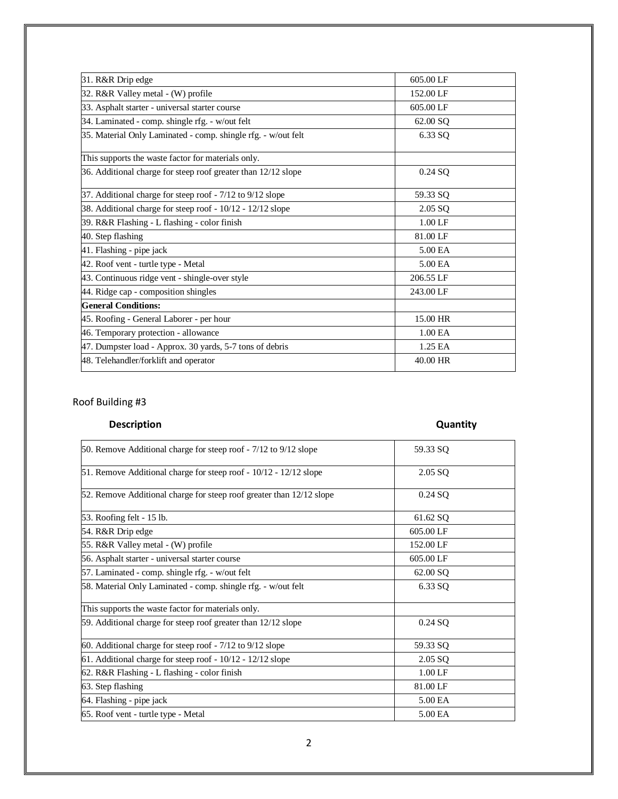| 31. R&R Drip edge                                             | 605.00 LF |
|---------------------------------------------------------------|-----------|
| 32. R&R Valley metal - (W) profile                            | 152.00 LF |
| 33. Asphalt starter - universal starter course                | 605.00 LF |
| 34. Laminated - comp. shingle rfg. - w/out felt               | 62.00 SQ  |
| 35. Material Only Laminated - comp. shingle rfg. - w/out felt | 6.33 SQ   |
| This supports the waste factor for materials only.            |           |
| 36. Additional charge for steep roof greater than 12/12 slope | 0.24 SQ   |
| 37. Additional charge for steep roof - 7/12 to 9/12 slope     | 59.33 SQ  |
| 38. Additional charge for steep roof - 10/12 - 12/12 slope    | 2.05 SQ   |
| 39. R&R Flashing - L flashing - color finish                  | $1.00$ LF |
| 40. Step flashing                                             | 81.00 LF  |
| 41. Flashing - pipe jack                                      | 5.00 EA   |
| 42. Roof vent - turtle type - Metal                           | 5.00 EA   |
| 43. Continuous ridge vent - shingle-over style                | 206.55 LF |
| 44. Ridge cap - composition shingles                          | 243.00 LF |
| <b>General Conditions:</b>                                    |           |
| 45. Roofing - General Laborer - per hour                      | 15.00 HR  |
| 46. Temporary protection - allowance                          | 1.00 EA   |
| 47. Dumpster load - Approx. 30 yards, 5-7 tons of debris      | 1.25 EA   |
| 48. Telehandler/forklift and operator                         | 40.00 HR  |

### Roof Building #3

# **Description Description**

| 50. Remove Additional charge for steep roof - 7/12 to 9/12 slope     | 59.33 SQ  |
|----------------------------------------------------------------------|-----------|
| 51. Remove Additional charge for steep roof - 10/12 - 12/12 slope    | 2.05 SQ   |
| 52. Remove Additional charge for steep roof greater than 12/12 slope | $0.24$ SQ |
| 53. Roofing felt - 15 lb.                                            | 61.62 SQ  |
| 54. R&R Drip edge                                                    | 605.00 LF |
| 55. R&R Valley metal - (W) profile                                   | 152.00 LF |
| 56. Asphalt starter - universal starter course                       | 605.00 LF |
| 57. Laminated - comp. shingle rfg. - w/out felt                      | 62.00 SO  |
| 58. Material Only Laminated - comp. shingle rfg. - w/out felt        | 6.33 SQ   |
| This supports the waste factor for materials only.                   |           |
| 59. Additional charge for steep roof greater than 12/12 slope        | $0.24$ SQ |
| 60. Additional charge for steep roof - 7/12 to 9/12 slope            | 59.33 SQ  |
| 61. Additional charge for steep roof $-10/12 - 12/12$ slope          | 2.05 SQ   |
| 62. R&R Flashing - L flashing - color finish                         | $1.00$ LF |
| 63. Step flashing                                                    | 81.00 LF  |
| 64. Flashing - pipe jack                                             | 5.00 EA   |
| 65. Roof vent - turtle type - Metal                                  | 5.00 EA   |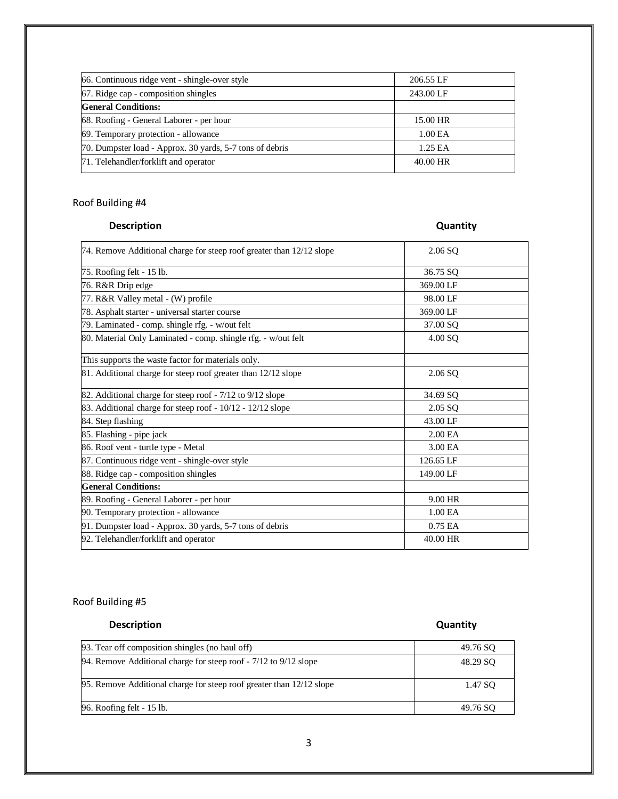| 66. Continuous ridge vent - shingle-over style           | 206.55 LF           |
|----------------------------------------------------------|---------------------|
| 67. Ridge cap - composition shingles                     | 243.00 LF           |
| <b>General Conditions:</b>                               |                     |
| 68. Roofing - General Laborer - per hour                 | 15.00 HR            |
| 69. Temporary protection - allowance                     | 1.00 <sub>E</sub> A |
| 70. Dumpster load - Approx. 30 yards, 5-7 tons of debris | 1.25 EA             |
| 71. Telehandler/forklift and operator                    | 40.00 HR            |

### Roof Building #4

### **Description Contract Contract Contract Contract Contract Contract Contract Contract Contract Contract Contract Contract Contract Contract Contract Contract Contract Contract Contract Contract Contract Contract Contract Co**

| 74. Remove Additional charge for steep roof greater than 12/12 slope | $2.06$ SQ           |  |
|----------------------------------------------------------------------|---------------------|--|
| 75. Roofing felt - 15 lb.                                            | 36.75 SQ            |  |
| 76. R&R Drip edge                                                    | 369.00 LF           |  |
| 77. R&R Valley metal - (W) profile                                   | 98.00 LF            |  |
| 78. Asphalt starter - universal starter course                       | 369.00 LF           |  |
| 79. Laminated - comp. shingle rfg. - w/out felt                      | 37.00 SQ            |  |
| 80. Material Only Laminated - comp. shingle rfg. - w/out felt        | 4.00 SQ             |  |
| This supports the waste factor for materials only.                   |                     |  |
| 81. Additional charge for steep roof greater than 12/12 slope        | $2.06$ SQ           |  |
| 82. Additional charge for steep roof - 7/12 to 9/12 slope            | 34.69 SQ            |  |
| 83. Additional charge for steep roof - 10/12 - 12/12 slope           | 2.05 SQ             |  |
| 84. Step flashing                                                    | 43.00 LF            |  |
| 85. Flashing - pipe jack                                             | 2.00 <sub>E</sub> A |  |
| 86. Roof vent - turtle type - Metal                                  | 3.00 EA             |  |
| 87. Continuous ridge vent - shingle-over style                       | 126.65 LF           |  |
| 88. Ridge cap - composition shingles                                 | 149.00 LF           |  |
| <b>General Conditions:</b>                                           |                     |  |
| 89. Roofing - General Laborer - per hour                             | 9.00 HR             |  |
| 90. Temporary protection - allowance                                 | 1.00 EA             |  |
| 91. Dumpster load - Approx. 30 yards, 5-7 tons of debris             | 0.75 EA             |  |
| 92. Telehandler/forklift and operator                                | 40.00 HR            |  |
|                                                                      |                     |  |

Roof Building #5

## **Description Contract Contract Contract Contract Contract Contract Contract Contract Contract Contract Contract Contract Contract Contract Contract Contract Contract Contract Contract Contract Contract Contract Contract Co**

| 93. Tear off composition shingles (no haul off)                        | 49.76 SO |
|------------------------------------------------------------------------|----------|
| 94. Remove Additional charge for steep roof $-7/12$ to $9/12$ slope    | 48.29 SO |
| 95. Remove Additional charge for steep roof greater than $12/12$ slope | 1.47 SO  |
| 96. Roofing felt - 15 lb.                                              | 49.76 SO |